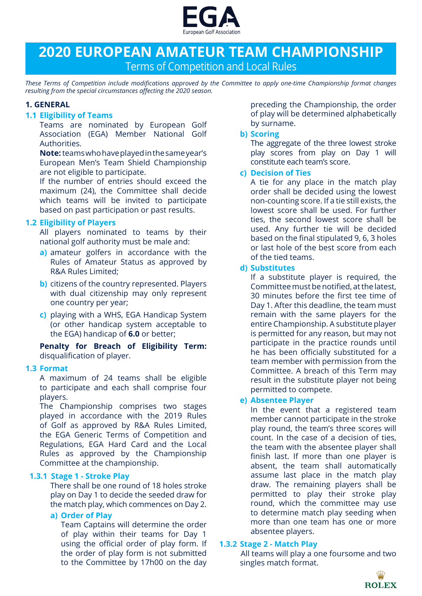

# **2020 EUROPEAN AMATEUR TEAM CHAMPIONSHIP** Terms of Competition and Local Rules

*These Terms of Competition include modifications approved by the Committee to apply one-time Championship format changes resulting from the special circumstances affecting the 2020 season.*

#### **1. GENERAL**

#### **1.1 Eligibility of Teams**

Teams are nominated by European Golf Association (EGA) Member National Golf Authorities.

**Note:** teams who have played in the same year's European Men's Team Shield Championship are not eligible to participate.

If the number of entries should exceed the maximum (24), the Committee shall decide which teams will be invited to participate based on past participation or past results.

#### **1.2 Eligibility of Players**

All players nominated to teams by their national golf authority must be male and:

- **a)** amateur golfers in accordance with the Rules of Amateur Status as approved by R&A Rules Limited;
- **b)** citizens of the country represented. Players with dual citizenship may only represent one country per year;
- **c)** playing with a WHS, EGA Handicap System (or other handicap system acceptable to the EGA) handicap of **6.0** or better;

**Penalty for Breach of Eligibility Term:** disqualification of player.

#### **1.3 Format**

A maximum of 24 teams shall be eligible to participate and each shall comprise four players.

The Championship comprises two stages played in accordance with the 2019 Rules of Golf as approved by R&A Rules Limited, the EGA Generic Terms of Competition and Regulations, EGA Hard Card and the Local Rules as approved by the Championship Committee at the championship.

#### **1.3.1 Stage 1 - Stroke Play**

There shall be one round of 18 holes stroke play on Day 1 to decide the seeded draw for the match play, which commences on Day 2.

#### **a) Order of Play**

Team Captains will determine the order of play within their teams for Day 1 using the official order of play form. If the order of play form is not submitted to the Committee by 17h00 on the day

preceding the Championship, the order of play will be determined alphabetically by surname.

#### **b) Scoring**

The aggregate of the three lowest stroke play scores from play on Day 1 will constitute each team's score.

#### **c) Decision of Ties**

A tie for any place in the match play order shall be decided using the lowest non-counting score. If a tie still exists, the lowest score shall be used. For further ties, the second lowest score shall be used. Any further tie will be decided based on the final stipulated 9, 6, 3 holes or last hole of the best score from each of the tied teams.

#### **d) Substitutes**

If a substitute player is required, the Committee must be notified, at the latest, 30 minutes before the first tee time of Day 1. After this deadline, the team must remain with the same players for the entire Championship. A substitute player is permitted for any reason, but may not participate in the practice rounds until he has been officially substituted for a team member with permission from the Committee. A breach of this Term may result in the substitute player not being permitted to compete.

## **e) Absentee Player**

In the event that a registered team member cannot participate in the stroke play round, the team's three scores will count. In the case of a decision of ties, the team with the absentee player shall finish last. If more than one player is absent, the team shall automatically assume last place in the match play draw. The remaining players shall be permitted to play their stroke play round, which the committee may use to determine match play seeding when more than one team has one or more absentee players.

#### **1.3.2 Stage 2 - Match Play**

All teams will play a one foursome and two singles match format.

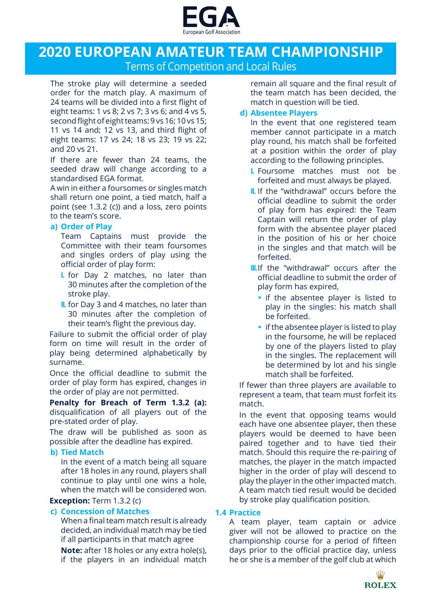

## **2020 EUROPEAN AMATEUR TEAM CHAMPIONSHIP** Terms of Competition and Local Rules

The stroke play will determine a seeded order for the match play. A maximum of 24 teams will be divided into a first flight of eight teams: 1 vs 8; 2 vs 7; 3 vs 6; and 4 vs 5, second flight of eight teams: 9 vs 16; 10 vs 15; 11 vs 14 and; 12 vs 13, and third flight of eight teams: 17 vs 24; 18 vs 23; 19 vs 22; and 20 vs 21.

If there are fewer than 24 teams, the seeded draw will change according to a standardised EGA format.

A win in either a foursomes or singles match shall return one point, a tied match, half a point (see 1.3.2 (c)) and a loss, zero points to the team's score.

#### **a) Order of Play**

Team Captains must provide the Committee with their team foursomes and singles orders of play using the official order of play form:

- **I.** for Day 2 matches, no later than 30 minutes after the completion of the stroke play.
- **II.** for Day 3 and 4 matches, no later than 30 minutes after the completion of their team's flight the previous day.

Failure to submit the official order of play form on time will result in the order of play being determined alphabetically by surname.

Once the official deadline to submit the order of play form has expired, changes in the order of play are not permitted.

**Penalty for Breach of Term 1.3.2 (a):** disqualification of all players out of the pre-stated order of play.

The draw will be published as soon as possible after the deadline has expired.

#### **b) Tied Match**

In the event of a match being all square after 18 holes in any round, players shall continue to play until one wins a hole, when the match will be considered won.

#### **Exception:** Term 1.3.2 (c)

## **c) Concession of Matches**

When a final team match result is already decided, an individual match may be tied if all participants in that match agree

**Note:** after 18 holes or any extra hole(s), if the players in an individual match

remain all square and the final result of the team match has been decided, the match in question will be tied.

## **d) Absentee Players**

In the event that one registered team member cannot participate in a match play round, his match shall be forfeited at a position within the order of play according to the following principles.

- **I.** Foursome matches must not be forfeited and must always be played.
- **II.** If the "withdrawal" occurs before the official deadline to submit the order of play form has expired: the Team Captain will return the order of play form with the absentee player placed in the position of his or her choice in the singles and that match will be forfeited.
- **III.**If the "withdrawal" occurs after the official deadline to submit the order of play form has expired,
	- **•** if the absentee player is listed to play in the singles: his match shall be forfeited.
	- **•** if the absentee player is listed to play in the foursome, he will be replaced by one of the players listed to play in the singles. The replacement will be determined by lot and his single match shall be forfeited.

If fewer than three players are available to represent a team, that team must forfeit its match.

In the event that opposing teams would each have one absentee player, then these players would be deemed to have been paired together and to have tied their match. Should this require the re-pairing of matches, the player in the match impacted higher in the order of play will descend to play the player in the other impacted match. A team match tied result would be decided by stroke play qualification position.

#### **1.4 Practice**

A team player, team captain or advice giver will not be allowed to practice on the championship course for a period of fifteen days prior to the official practice day, unless he or she is a member of the golf club at which